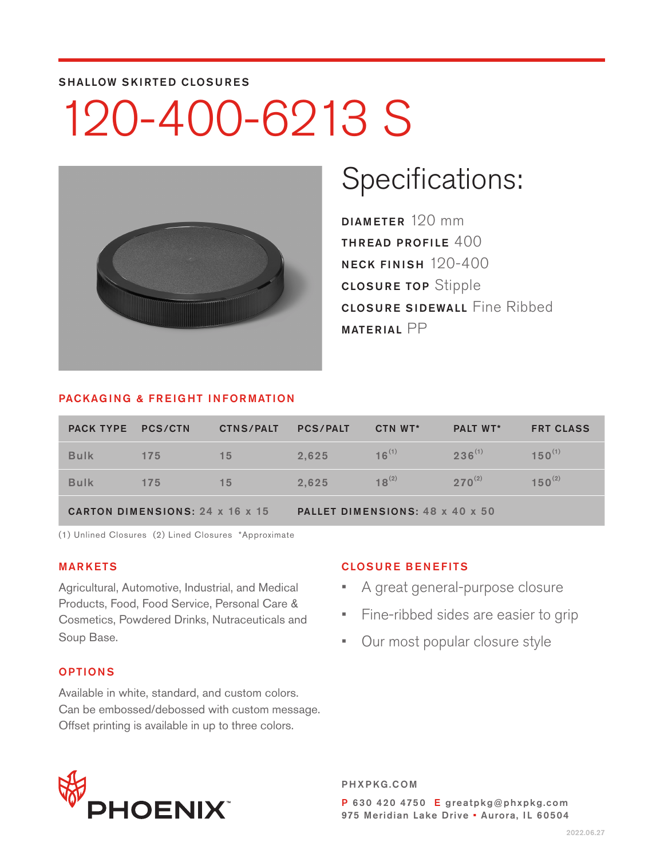#### SHALLOW SKIRTED CLOSURES

# 120-400-6213 S



### Specifications:

DIAMETER 120 mm THREAD PROFILE 400 NECK FINISH 120-400 CLOSURE TOP Stipple CLOSURE SIDEWALL Fine Ribbed MATERIAL PP

#### PACKAGING & FREIGHT INFORMATION

| PACK TYPE PCS/CTN                      |     | <b>CTNS/PALT</b> | <b>PCS/PALT</b>                 | CTN WT*    | <b>PALT WT*</b> | <b>FRT CLASS</b> |  |
|----------------------------------------|-----|------------------|---------------------------------|------------|-----------------|------------------|--|
| <b>Bulk</b>                            | 175 | 15               | 2.625                           | $16^{(1)}$ | $236^{(1)}$     | $150^{(1)}$      |  |
| <b>Bulk</b>                            | 175 | 15               | 2.625                           | $18^{(2)}$ | $270^{(2)}$     | $150^{(2)}$      |  |
| <b>CARTON DIMENSIONS: 24 x 16 x 15</b> |     |                  | PALLET DIMENSIONS: 48 x 40 x 50 |            |                 |                  |  |

(1) Unlined Closures (2) Lined Closures \*Approximate

#### MARKETS

Agricultural, Automotive, Industrial, and Medical Products, Food, Food Service, Personal Care & Cosmetics, Powdered Drinks, Nutraceuticals and Soup Base.

#### OPTIONS

Available in white, standard, and custom colors. Can be embossed/debossed with custom message. Offset printing is available in up to three colors.

#### CLOSURE BENEFITS

- A great general-purpose closure
- Fine-ribbed sides are easier to grip
- Our most popular closure style



PHXPKG.COM P 630 420 4750 E greatpkg@phxpkg.com 975 Meridian Lake Drive · Aurora, IL 60504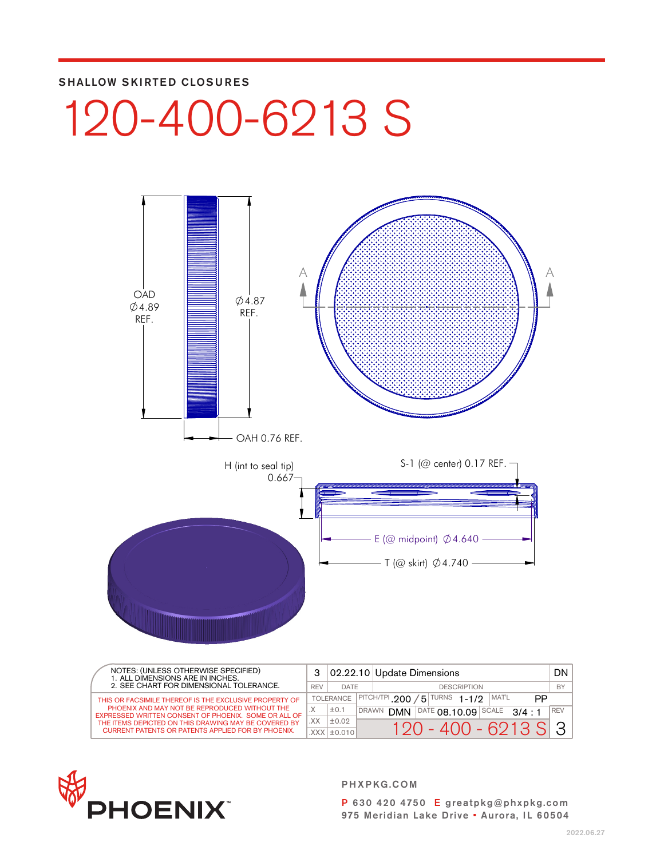#### SHALLOW SKIRTED CLOSURES

# 120-400-6213 S



| NOTES: (UNLESS OTHERWISE SPECIFIED)<br>1. ALL DIMENSIONS ARE IN INCHES.                               |            |                   |                                                                      | 02.22.10 Update Dimensions                      | DN I      |
|-------------------------------------------------------------------------------------------------------|------------|-------------------|----------------------------------------------------------------------|-------------------------------------------------|-----------|
| 2. SEE CHART FOR DIMENSIONAL TOLERANCE.                                                               | <b>REV</b> | <b>DATE</b>       |                                                                      | <b>DESCRIPTION</b>                              | <b>BY</b> |
| THIS OR FACSIMILE THEREOF IS THE EXCLUSIVE PROPERTY OF                                                |            | <b>TOLERANCE</b>  | $\sqrt{$ TURNS 1-1/2<br>MAT'L<br>$ $ PITCH/TPI 200<br>5<br><b>PP</b> |                                                 |           |
| PHOENIX AND MAY NOT BE REPRODUCED WITHOUT THE<br>EXPRESSED WRITTEN CONSENT OF PHOENIX. SOME OR ALL OF | . X        | ±0.1              | DRAWN                                                                | $ ^{DATE}$ 08.10.09 SCALE 3/4 : 1<br><b>DMN</b> | l REV     |
| THE ITEMS DEPICTED ON THIS DRAWING MAY BE COVERED BY                                                  | XX.        | ±0.02             |                                                                      | 120 - 400 - 6213 S 3 I                          |           |
| <b>CURRENT PATENTS OR PATENTS APPLIED FOR BY PHOENIX.</b>                                             |            | $XXX$ $\pm$ 0.010 |                                                                      |                                                 |           |



PHXPKG.COM

P 630 420 4750 E greatpkg@phxpkg.com 975 Meridian Lake Drive • Aurora, IL 60504